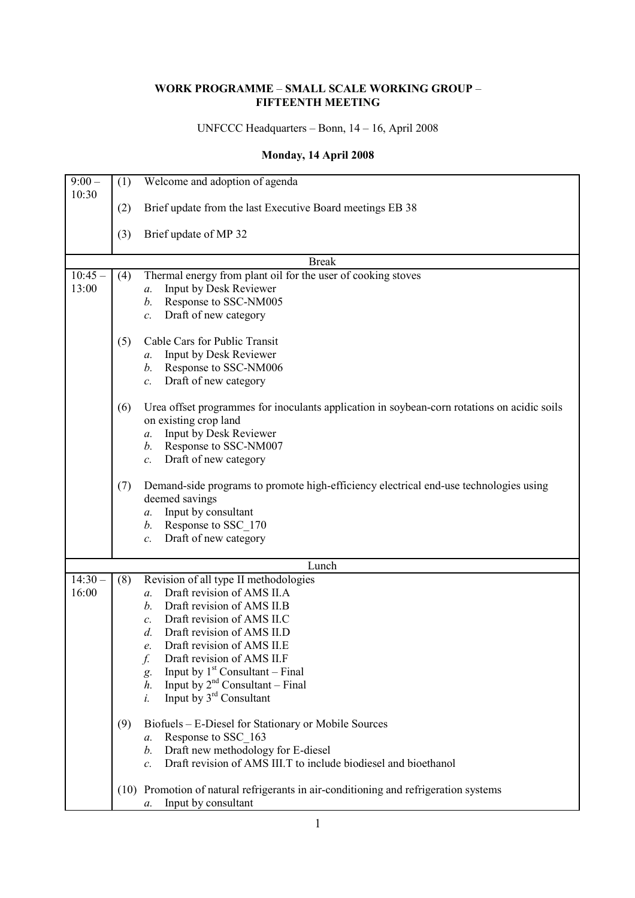### **WORK PROGRAMME** – **SMALL SCALE WORKING GROUP** – **FIFTEENTH MEETING**

## UNFCCC Headquarters – Bonn, 14 – 16, April 2008

## **Monday, 14 April 2008**

| $9:00 -$  | (1) | Welcome and adoption of agenda                                                              |
|-----------|-----|---------------------------------------------------------------------------------------------|
| 10:30     |     |                                                                                             |
|           | (2) | Brief update from the last Executive Board meetings EB 38                                   |
|           | (3) | Brief update of MP 32                                                                       |
|           |     | <b>Break</b>                                                                                |
| $10:45 -$ | (4) | Thermal energy from plant oil for the user of cooking stoves                                |
| 13:00     |     | Input by Desk Reviewer<br>a.                                                                |
|           |     | Response to SSC-NM005<br>b.                                                                 |
|           |     | Draft of new category<br>$\mathcal{C}.$                                                     |
|           |     |                                                                                             |
|           | (5) | Cable Cars for Public Transit                                                               |
|           |     | Input by Desk Reviewer<br>а.                                                                |
|           |     | Response to SSC-NM006<br>b.                                                                 |
|           |     | Draft of new category<br>$\mathcal{C}$ .                                                    |
|           | (6) | Urea offset programmes for inoculants application in soybean-corn rotations on acidic soils |
|           |     | on existing crop land                                                                       |
|           |     | Input by Desk Reviewer<br>a.                                                                |
|           |     | Response to SSC-NM007<br>b.                                                                 |
|           |     | Draft of new category<br>$\mathcal{C}$ .                                                    |
|           |     |                                                                                             |
|           | (7) | Demand-side programs to promote high-efficiency electrical end-use technologies using       |
|           |     | deemed savings                                                                              |
|           |     | Input by consultant<br>$a$ .                                                                |
|           |     | Response to SSC_170<br>b.                                                                   |
|           |     | Draft of new category<br>$\mathcal{C}$ .                                                    |
|           |     | Lunch                                                                                       |
| $14:30 -$ | (8) | Revision of all type II methodologies                                                       |
| 16:00     |     | Draft revision of AMS II.A<br>$a$ .                                                         |
|           |     | Draft revision of AMS II.B<br>b.                                                            |
|           |     | Draft revision of AMS II.C<br>$\mathcal{C}$ .                                               |
|           |     | Draft revision of AMS II.D<br>d.                                                            |
|           |     | Draft revision of AMS ILE<br>e.                                                             |
|           |     | Draft revision of AMS II.F<br>f.                                                            |
|           |     | Input by $1st$ Consultant – Final<br>g.                                                     |
|           |     | Input by $2^{nd}$ Consultant – Final<br>$h$ .                                               |
|           |     | Input by 3 <sup>rd</sup> Consultant<br>i.                                                   |
|           | (9) | Biofuels - E-Diesel for Stationary or Mobile Sources                                        |
|           |     | Response to SSC 163<br>a.                                                                   |
|           |     | Draft new methodology for E-diesel<br>b.                                                    |
|           |     | Draft revision of AMS III.T to include biodiesel and bioethanol<br>$\mathcal{C}$ .          |
|           |     |                                                                                             |
|           |     | (10) Promotion of natural refrigerants in air-conditioning and refrigeration systems        |
|           |     | Input by consultant<br>a.                                                                   |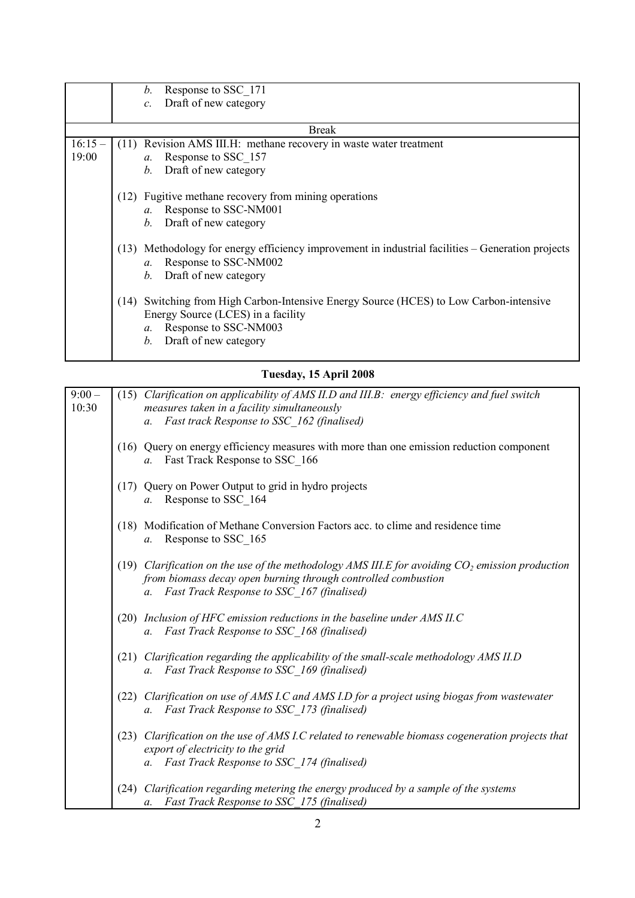|              | Response to SSC 171<br>b.                                                                                                                                                                     |  |  |  |  |
|--------------|-----------------------------------------------------------------------------------------------------------------------------------------------------------------------------------------------|--|--|--|--|
|              | Draft of new category<br>$\mathcal{C}$ .                                                                                                                                                      |  |  |  |  |
|              |                                                                                                                                                                                               |  |  |  |  |
| <b>Break</b> |                                                                                                                                                                                               |  |  |  |  |
| $16:15-$     | (11) Revision AMS III.H: methane recovery in waste water treatment                                                                                                                            |  |  |  |  |
| 19:00        | Response to SSC 157<br>$a_{\cdot}$                                                                                                                                                            |  |  |  |  |
|              | Draft of new category<br><i>b</i> .                                                                                                                                                           |  |  |  |  |
|              | (12) Fugitive methane recovery from mining operations<br>Response to SSC-NM001<br>$a_{\cdot}$                                                                                                 |  |  |  |  |
|              | b. Draft of new category                                                                                                                                                                      |  |  |  |  |
|              | (13) Methodology for energy efficiency improvement in industrial facilities – Generation projects<br>Response to SSC-NM002<br>$a_{\cdot}$<br>Draft of new category<br>b.                      |  |  |  |  |
|              | (14) Switching from High Carbon-Intensive Energy Source (HCES) to Low Carbon-intensive<br>Energy Source (LCES) in a facility<br>Response to SSC-NM003<br>$a$ .<br>Draft of new category<br>b. |  |  |  |  |

# **Tuesday, 15 April 2008**

| $9:00 -$<br>10:30 |      | (15) Clarification on applicability of AMS II.D and III.B: energy efficiency and fuel switch<br>measures taken in a facility simultaneously<br>Fast track Response to SSC_162 (finalised)<br>$a$ .                               |
|-------------------|------|----------------------------------------------------------------------------------------------------------------------------------------------------------------------------------------------------------------------------------|
|                   |      | (16) Query on energy efficiency measures with more than one emission reduction component<br>a. Fast Track Response to SSC 166                                                                                                    |
|                   |      | (17) Query on Power Output to grid in hydro projects<br>Response to SSC_164<br>a.                                                                                                                                                |
|                   |      | (18) Modification of Methane Conversion Factors acc. to clime and residence time<br>Response to SSC_165<br>$a$ .                                                                                                                 |
|                   |      | (19) Clarification on the use of the methodology AMS III. E for avoiding $CO2$ emission production<br>from biomass decay open burning through controlled combustion<br>Fast Track Response to SSC 167 (finalised)<br>$a_{\cdot}$ |
|                   |      | (20) Inclusion of HFC emission reductions in the baseline under AMS II.C<br>Fast Track Response to SSC 168 (finalised)<br>$a$ .                                                                                                  |
|                   |      | (21) Clarification regarding the applicability of the small-scale methodology AMS II.D<br>Fast Track Response to SSC 169 (finalised)<br>a.                                                                                       |
|                   |      | (22) Clarification on use of AMS I.C and AMS I.D for a project using biogas from wastewater<br>a. Fast Track Response to SSC 173 (finalised)                                                                                     |
|                   | (23) | Clarification on the use of AMS I.C related to renewable biomass cogeneration projects that<br>export of electricity to the grid<br>Fast Track Response to SSC_174 (finalised)<br>$a_{\cdot}$                                    |
|                   | (24) | Clarification regarding metering the energy produced by a sample of the systems<br>a. Fast Track Response to SSC 175 (finalised)                                                                                                 |